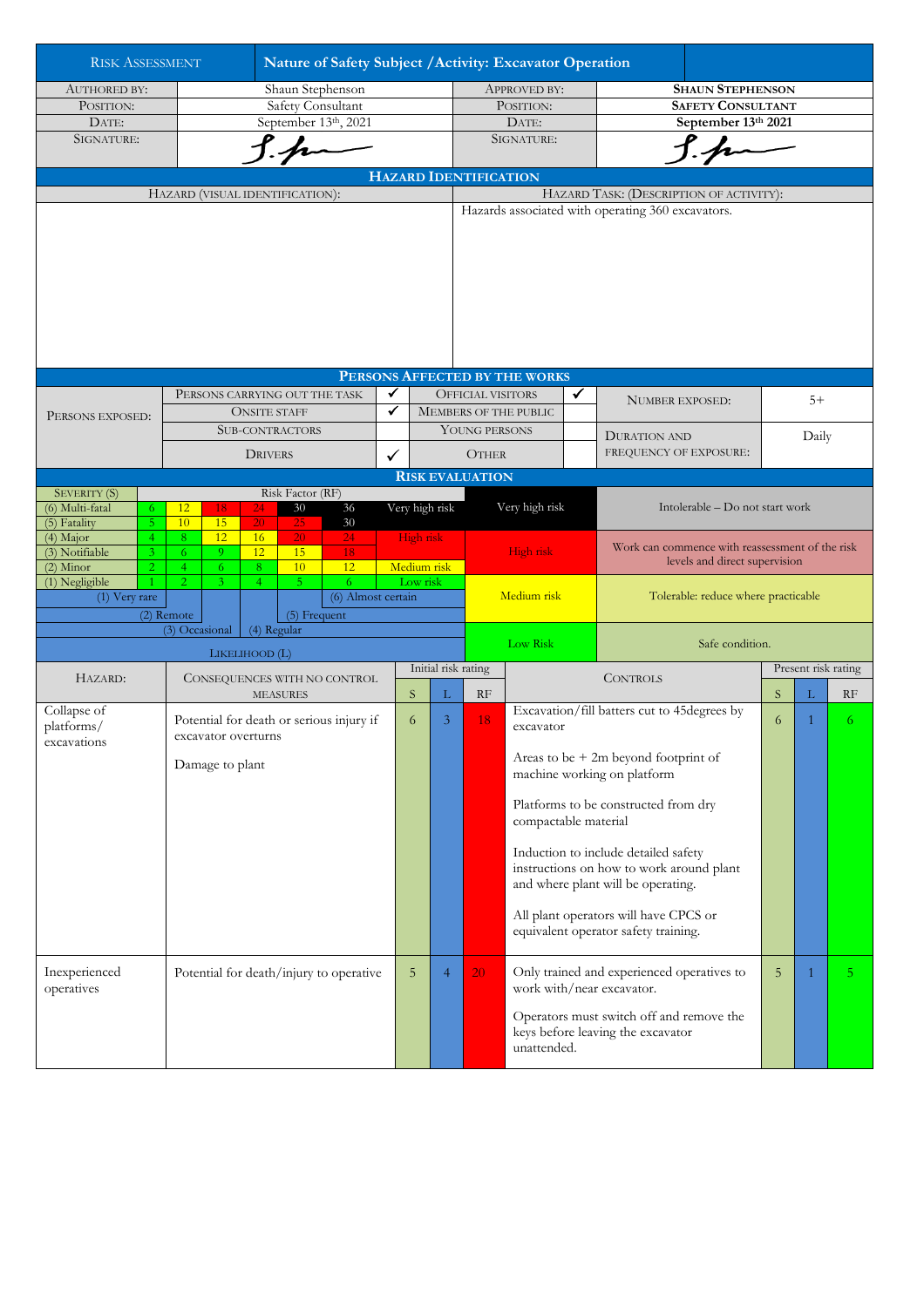| <b>RISK ASSESSMENT</b>                                   |                                                              |                     |                |                                 |                                          |                | Nature of Safety Subject / Activity: Excavator Operation                    |                                                          |                        |                                                                                               |                                                                                  |                                                   |                                     |                     |      |       |  |  |
|----------------------------------------------------------|--------------------------------------------------------------|---------------------|----------------|---------------------------------|------------------------------------------|----------------|-----------------------------------------------------------------------------|----------------------------------------------------------|------------------------|-----------------------------------------------------------------------------------------------|----------------------------------------------------------------------------------|---------------------------------------------------|-------------------------------------|---------------------|------|-------|--|--|
| <b>AUTHORED BY:</b>                                      | Shaun Stephenson                                             |                     |                |                                 |                                          |                |                                                                             |                                                          | APPROVED BY:           |                                                                                               |                                                                                  |                                                   | <b>SHAUN STEPHENSON</b>             |                     |      |       |  |  |
| POSITION:                                                | Safety Consultant                                            |                     |                |                                 |                                          |                |                                                                             |                                                          | POSITION:              |                                                                                               |                                                                                  | <b>SAFETY CONSULTANT</b>                          |                                     |                     |      |       |  |  |
| DATE:                                                    |                                                              |                     |                |                                 | September 13th, 2021                     |                |                                                                             | DATE:                                                    |                        |                                                                                               |                                                                                  | September 13th 2021                               |                                     |                     |      |       |  |  |
| SIGNATURE:                                               |                                                              |                     |                |                                 |                                          |                |                                                                             | SIGNATURE:                                               |                        |                                                                                               |                                                                                  |                                                   |                                     |                     |      |       |  |  |
| h                                                        |                                                              |                     |                |                                 |                                          |                |                                                                             |                                                          |                        |                                                                                               |                                                                                  | $\bigwedge$                                       |                                     |                     |      |       |  |  |
| <b>HAZARD IDENTIFICATION</b>                             |                                                              |                     |                |                                 |                                          |                |                                                                             |                                                          |                        |                                                                                               |                                                                                  |                                                   |                                     |                     |      |       |  |  |
|                                                          |                                                              |                     |                | HAZARD (VISUAL IDENTIFICATION): |                                          |                |                                                                             |                                                          |                        |                                                                                               |                                                                                  | HAZARD TASK: (DESCRIPTION OF ACTIVITY):           |                                     |                     |      |       |  |  |
|                                                          |                                                              |                     |                |                                 |                                          |                |                                                                             |                                                          |                        |                                                                                               |                                                                                  | Hazards associated with operating 360 excavators. |                                     |                     |      |       |  |  |
|                                                          |                                                              |                     |                |                                 |                                          |                |                                                                             |                                                          |                        |                                                                                               |                                                                                  |                                                   |                                     |                     |      |       |  |  |
|                                                          |                                                              |                     |                |                                 |                                          |                |                                                                             |                                                          |                        | PERSONS AFFECTED BY THE WORKS                                                                 |                                                                                  |                                                   |                                     |                     |      |       |  |  |
|                                                          |                                                              |                     |                |                                 | PERSONS CARRYING OUT THE TASK            | ✔<br>✓         |                                                                             | <b>OFFICIAL VISITORS</b><br><b>MEMBERS OF THE PUBLIC</b> |                        |                                                                                               | ✔                                                                                | <b>NUMBER EXPOSED:</b>                            |                                     |                     | $5+$ |       |  |  |
| PERSONS EXPOSED:                                         |                                                              | <b>ONSITE STAFF</b> |                |                                 |                                          |                |                                                                             |                                                          |                        |                                                                                               |                                                                                  |                                                   |                                     |                     |      |       |  |  |
|                                                          | <b>SUB-CONTRACTORS</b>                                       |                     |                |                                 |                                          |                |                                                                             |                                                          | YOUNG PERSONS          |                                                                                               |                                                                                  | <b>DURATION AND</b>                               |                                     |                     |      | Daily |  |  |
|                                                          |                                                              |                     | <b>DRIVERS</b> |                                 |                                          | $\checkmark$   |                                                                             | <b>OTHER</b>                                             |                        |                                                                                               |                                                                                  | FREQUENCY OF EXPOSURE:                            |                                     |                     |      |       |  |  |
|                                                          |                                                              |                     |                |                                 |                                          |                |                                                                             |                                                          | <b>RISK EVALUATION</b> |                                                                                               |                                                                                  |                                                   |                                     |                     |      |       |  |  |
| <b>SEVERITY (S)</b>                                      |                                                              |                     |                | Risk Factor (RF)                |                                          |                | Intolerable - Do not start work                                             |                                                          |                        |                                                                                               |                                                                                  |                                                   |                                     |                     |      |       |  |  |
| (6) Multi-fatal<br>6<br>5 <sup>°</sup><br>(5) Fatality   | 12<br>30<br>36<br>18<br>24<br>15<br>10<br>$20\,$<br>25<br>30 |                     |                |                                 | Very high risk                           |                |                                                                             | Very high risk                                           |                        |                                                                                               |                                                                                  |                                                   |                                     |                     |      |       |  |  |
| (4) Major<br>$\overline{4}$                              | 8                                                            | 12                  | 16             | 20                              | 24                                       |                | High risk                                                                   |                                                          |                        |                                                                                               |                                                                                  |                                                   |                                     |                     |      |       |  |  |
| (3) Notifiable                                           | 6.                                                           | 9                   | 12             | 15                              | 18                                       |                |                                                                             |                                                          |                        | Work can commence with reassessment of the risk<br>High risk<br>levels and direct supervision |                                                                                  |                                                   |                                     |                     |      |       |  |  |
| $(2)$ Minor<br>$\overline{2}$                            | 4                                                            | 6                   | 8              | 10                              | 12                                       | Medium risk    |                                                                             |                                                          |                        |                                                                                               |                                                                                  |                                                   |                                     |                     |      |       |  |  |
| (1) Negligible<br>(1) Very rare                          | $\overline{2}$                                               | $\overline{3}$      | $\overline{4}$ | $\overline{5}$                  | 6<br>(6) Almost certain                  |                | Low risk                                                                    |                                                          |                        | Medium risk                                                                                   |                                                                                  |                                                   | Tolerable: reduce where practicable |                     |      |       |  |  |
| (2) Remote<br>(5) Frequent                               |                                                              |                     |                |                                 |                                          |                |                                                                             |                                                          |                        |                                                                                               |                                                                                  |                                                   |                                     |                     |      |       |  |  |
|                                                          | (3) Occasional                                               |                     |                | (4) Regular                     |                                          |                |                                                                             |                                                          |                        |                                                                                               |                                                                                  |                                                   |                                     |                     |      |       |  |  |
|                                                          |                                                              | LIKELIHOOD (L)      |                |                                 |                                          |                |                                                                             |                                                          |                        | Low Risk                                                                                      |                                                                                  |                                                   | Safe condition.                     |                     |      |       |  |  |
|                                                          |                                                              |                     |                |                                 |                                          |                |                                                                             | Initial risk rating                                      |                        |                                                                                               |                                                                                  |                                                   |                                     | Present risk rating |      |       |  |  |
| HAZARD:                                                  |                                                              |                     |                | <b>MEASURES</b>                 | CONSEQUENCES WITH NO CONTROL             | ${\mathcal S}$ | L                                                                           |                                                          | <b>CONTROLS</b><br>RF  |                                                                                               |                                                                                  |                                                   |                                     | $\mathbf S$         | L    | RF    |  |  |
| Collapse of                                              |                                                              |                     |                |                                 |                                          |                |                                                                             |                                                          |                        | Excavation/fill batters cut to 45degrees by                                                   |                                                                                  |                                                   |                                     |                     |      |       |  |  |
| platforms/                                               |                                                              |                     |                |                                 | Potential for death or serious injury if | 6              | 3                                                                           |                                                          | 18                     | excavator                                                                                     |                                                                                  |                                                   | 6                                   | 1                   | 6    |       |  |  |
| excavations                                              |                                                              | excavator overturns |                |                                 |                                          |                |                                                                             |                                                          |                        |                                                                                               |                                                                                  |                                                   |                                     |                     |      |       |  |  |
|                                                          |                                                              | Damage to plant     |                |                                 |                                          |                |                                                                             |                                                          |                        | Areas to be $+ 2m$ beyond footprint of                                                        |                                                                                  |                                                   |                                     |                     |      |       |  |  |
|                                                          |                                                              |                     |                |                                 |                                          |                |                                                                             |                                                          |                        |                                                                                               | machine working on platform                                                      |                                                   |                                     |                     |      |       |  |  |
|                                                          |                                                              |                     |                |                                 |                                          |                |                                                                             |                                                          | compactable material   |                                                                                               | Platforms to be constructed from dry                                             |                                                   |                                     |                     |      |       |  |  |
|                                                          |                                                              |                     |                |                                 |                                          |                |                                                                             |                                                          |                        |                                                                                               |                                                                                  |                                                   |                                     |                     |      |       |  |  |
|                                                          |                                                              |                     |                |                                 |                                          |                |                                                                             |                                                          |                        |                                                                                               | Induction to include detailed safety<br>instructions on how to work around plant |                                                   |                                     |                     |      |       |  |  |
|                                                          |                                                              |                     |                |                                 |                                          |                | and where plant will be operating.<br>All plant operators will have CPCS or |                                                          |                        |                                                                                               |                                                                                  |                                                   |                                     |                     |      |       |  |  |
|                                                          |                                                              |                     |                |                                 |                                          |                |                                                                             |                                                          |                        |                                                                                               |                                                                                  |                                                   |                                     |                     |      |       |  |  |
|                                                          |                                                              |                     |                |                                 |                                          |                |                                                                             |                                                          |                        |                                                                                               |                                                                                  | equivalent operator safety training.              |                                     |                     |      |       |  |  |
| Inexperienced<br>Potential for death/injury to operative |                                                              |                     |                | 5                               | $\overline{4}$                           |                | 20                                                                          |                                                          |                        | Only trained and experienced operatives to                                                    |                                                                                  | 5                                                 | 1                                   | 5 <sup>1</sup>      |      |       |  |  |
| operatives                                               |                                                              |                     |                |                                 |                                          |                |                                                                             |                                                          |                        | work with/near excavator.                                                                     |                                                                                  |                                                   |                                     |                     |      |       |  |  |
|                                                          |                                                              |                     |                |                                 |                                          |                |                                                                             |                                                          | unattended.            |                                                                                               | Operators must switch off and remove the<br>keys before leaving the excavator    |                                                   |                                     |                     |      |       |  |  |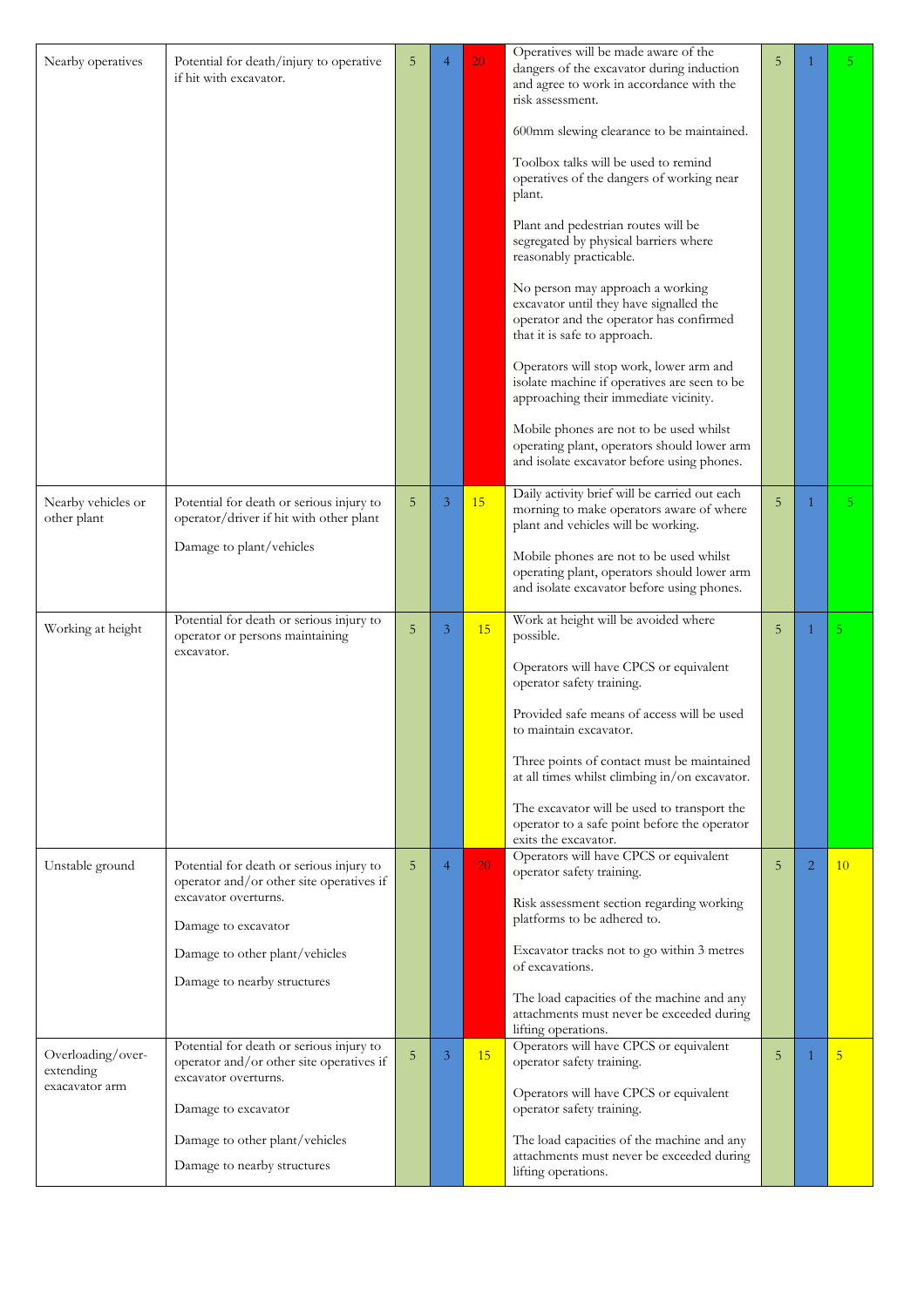| Nearby operatives                                | Potential for death/injury to operative<br>if hit with excavator.                                               | 5 |                | 20 <sup>1</sup> | Operatives will be made aware of the<br>dangers of the excavator during induction<br>and agree to work in accordance with the<br>risk assessment.<br>600mm slewing clearance to be maintained.<br>Toolbox talks will be used to remind<br>operatives of the dangers of working near<br>plant.<br>Plant and pedestrian routes will be<br>segregated by physical barriers where<br>reasonably practicable.<br>No person may approach a working<br>excavator until they have signalled the<br>operator and the operator has confirmed<br>that it is safe to approach.<br>Operators will stop work, lower arm and<br>isolate machine if operatives are seen to be<br>approaching their immediate vicinity.<br>Mobile phones are not to be used whilst<br>operating plant, operators should lower arm<br>and isolate excavator before using phones. | 5          |                | 5              |
|--------------------------------------------------|-----------------------------------------------------------------------------------------------------------------|---|----------------|-----------------|------------------------------------------------------------------------------------------------------------------------------------------------------------------------------------------------------------------------------------------------------------------------------------------------------------------------------------------------------------------------------------------------------------------------------------------------------------------------------------------------------------------------------------------------------------------------------------------------------------------------------------------------------------------------------------------------------------------------------------------------------------------------------------------------------------------------------------------------|------------|----------------|----------------|
| Nearby vehicles or<br>other plant                | Potential for death or serious injury to<br>operator/driver if hit with other plant<br>Damage to plant/vehicles | 5 | 3              | 15              | Daily activity brief will be carried out each<br>morning to make operators aware of where<br>plant and vehicles will be working.                                                                                                                                                                                                                                                                                                                                                                                                                                                                                                                                                                                                                                                                                                               | $\sqrt{5}$ | 1              | 5 <sup>1</sup> |
|                                                  |                                                                                                                 |   |                |                 | Mobile phones are not to be used whilst<br>operating plant, operators should lower arm<br>and isolate excavator before using phones.                                                                                                                                                                                                                                                                                                                                                                                                                                                                                                                                                                                                                                                                                                           |            |                |                |
| Working at height                                | Potential for death or serious injury to<br>operator or persons maintaining<br>excavator.                       | 5 | 3              | 15              | Work at height will be avoided where<br>possible.                                                                                                                                                                                                                                                                                                                                                                                                                                                                                                                                                                                                                                                                                                                                                                                              | 5          | 1              | 5              |
|                                                  |                                                                                                                 |   |                |                 | Operators will have CPCS or equivalent<br>operator safety training.                                                                                                                                                                                                                                                                                                                                                                                                                                                                                                                                                                                                                                                                                                                                                                            |            |                |                |
|                                                  |                                                                                                                 |   |                |                 | Provided safe means of access will be used<br>to maintain excavator.                                                                                                                                                                                                                                                                                                                                                                                                                                                                                                                                                                                                                                                                                                                                                                           |            |                |                |
|                                                  |                                                                                                                 |   |                |                 | Three points of contact must be maintained<br>at all times whilst climbing in/on excavator.                                                                                                                                                                                                                                                                                                                                                                                                                                                                                                                                                                                                                                                                                                                                                    |            |                |                |
|                                                  |                                                                                                                 |   |                |                 | The excavator will be used to transport the<br>operator to a safe point before the operator<br>exits the excavator.                                                                                                                                                                                                                                                                                                                                                                                                                                                                                                                                                                                                                                                                                                                            |            |                |                |
| Unstable ground                                  | Potential for death or serious injury to<br>operator and/or other site operatives if                            |   | $\overline{4}$ | 20 <sup>°</sup> | Operators will have CPCS or equivalent<br>operator safety training.                                                                                                                                                                                                                                                                                                                                                                                                                                                                                                                                                                                                                                                                                                                                                                            | 5          | $\overline{2}$ | 10             |
|                                                  | excavator overturns.<br>Damage to excavator                                                                     |   |                |                 | Risk assessment section regarding working<br>platforms to be adhered to.                                                                                                                                                                                                                                                                                                                                                                                                                                                                                                                                                                                                                                                                                                                                                                       |            |                |                |
|                                                  | Damage to other plant/vehicles                                                                                  |   |                |                 | Excavator tracks not to go within 3 metres<br>of excavations.                                                                                                                                                                                                                                                                                                                                                                                                                                                                                                                                                                                                                                                                                                                                                                                  |            |                |                |
|                                                  | Damage to nearby structures                                                                                     |   |                |                 | The load capacities of the machine and any                                                                                                                                                                                                                                                                                                                                                                                                                                                                                                                                                                                                                                                                                                                                                                                                     |            |                |                |
|                                                  |                                                                                                                 |   |                |                 | attachments must never be exceeded during<br>lifting operations.                                                                                                                                                                                                                                                                                                                                                                                                                                                                                                                                                                                                                                                                                                                                                                               |            |                |                |
| Overloading/over-<br>extending<br>exacavator arm | Potential for death or serious injury to<br>operator and/or other site operatives if<br>excavator overturns.    | 5 | 3              | 15              | Operators will have CPCS or equivalent<br>operator safety training.                                                                                                                                                                                                                                                                                                                                                                                                                                                                                                                                                                                                                                                                                                                                                                            | 5          | 1              | 5              |
|                                                  | Damage to excavator                                                                                             |   |                |                 | Operators will have CPCS or equivalent<br>operator safety training.                                                                                                                                                                                                                                                                                                                                                                                                                                                                                                                                                                                                                                                                                                                                                                            |            |                |                |
|                                                  | Damage to other plant/vehicles<br>Damage to nearby structures                                                   |   |                |                 | The load capacities of the machine and any<br>attachments must never be exceeded during<br>lifting operations.                                                                                                                                                                                                                                                                                                                                                                                                                                                                                                                                                                                                                                                                                                                                 |            |                |                |
|                                                  |                                                                                                                 |   |                |                 |                                                                                                                                                                                                                                                                                                                                                                                                                                                                                                                                                                                                                                                                                                                                                                                                                                                |            |                |                |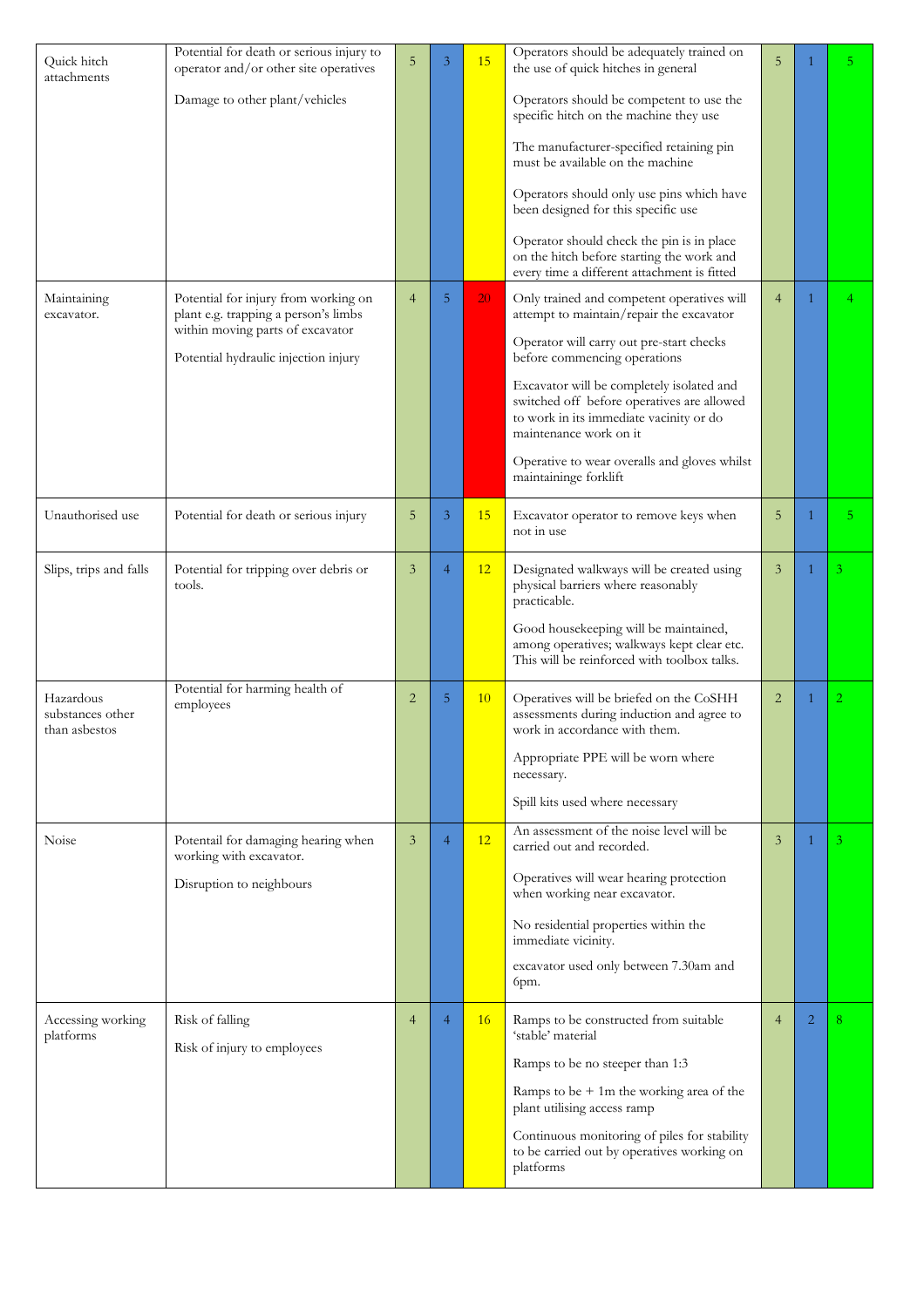| Quick hitch<br>attachments                     | Potential for death or serious injury to<br>operator and/or other site operatives<br>Damage to other plant/vehicles                                      | 5              | 3              | 15        | Operators should be adequately trained on<br>the use of quick hitches in general<br>Operators should be competent to use the<br>specific hitch on the machine they use<br>The manufacturer-specified retaining pin<br>must be available on the machine<br>Operators should only use pins which have<br>been designed for this specific use<br>Operator should check the pin is in place<br>on the hitch before starting the work and<br>every time a different attachment is fitted | 5              |                | 5. |
|------------------------------------------------|----------------------------------------------------------------------------------------------------------------------------------------------------------|----------------|----------------|-----------|-------------------------------------------------------------------------------------------------------------------------------------------------------------------------------------------------------------------------------------------------------------------------------------------------------------------------------------------------------------------------------------------------------------------------------------------------------------------------------------|----------------|----------------|----|
| Maintaining<br>excavator.                      | Potential for injury from working on<br>plant e.g. trapping a person's limbs<br>within moving parts of excavator<br>Potential hydraulic injection injury | $\overline{4}$ | 5              | 20        | Only trained and competent operatives will<br>attempt to maintain/repair the excavator<br>Operator will carry out pre-start checks<br>before commencing operations<br>Excavator will be completely isolated and<br>switched off before operatives are allowed<br>to work in its immediate vacinity or do<br>maintenance work on it<br>Operative to wear overalls and gloves whilst<br>maintaininge forklift                                                                         | $\overline{4}$ | 1              |    |
| Unauthorised use                               | Potential for death or serious injury                                                                                                                    | 5              | 3              | 15        | Excavator operator to remove keys when<br>not in use                                                                                                                                                                                                                                                                                                                                                                                                                                | 5              | 1              | 5. |
| Slips, trips and falls                         | Potential for tripping over debris or<br>tools.                                                                                                          | 3              | $\overline{4}$ | 12        | Designated walkways will be created using<br>physical barriers where reasonably<br>practicable.<br>Good housekeeping will be maintained,<br>among operatives; walkways kept clear etc.<br>This will be reinforced with toolbox talks.                                                                                                                                                                                                                                               | 3              | 1              | 3  |
| Hazardous<br>substances other<br>than asbestos | Potential for harming health of<br>employees                                                                                                             | $\overline{2}$ | 5              | <b>10</b> | Operatives will be briefed on the CoSHH<br>assessments during induction and agree to<br>work in accordance with them.<br>Appropriate PPE will be worn where<br>necessary.<br>Spill kits used where necessary                                                                                                                                                                                                                                                                        | $\overline{c}$ | 1              | 2  |
| Noise                                          | Potentail for damaging hearing when<br>working with excavator.<br>Disruption to neighbours                                                               | 3              | $\overline{4}$ | 12        | An assessment of the noise level will be<br>carried out and recorded.<br>Operatives will wear hearing protection<br>when working near excavator.<br>No residential properties within the<br>immediate vicinity.<br>excavator used only between 7.30am and<br>6pm.                                                                                                                                                                                                                   | 3              | 1              | 3  |
| Accessing working<br>platforms                 | Risk of falling<br>Risk of injury to employees                                                                                                           | $\overline{4}$ | $\overline{4}$ | 16        | Ramps to be constructed from suitable<br>'stable' material<br>Ramps to be no steeper than 1:3<br>Ramps to be $+ 1m$ the working area of the<br>plant utilising access ramp<br>Continuous monitoring of piles for stability<br>to be carried out by operatives working on<br>platforms                                                                                                                                                                                               | $\overline{4}$ | $\overline{2}$ | 8  |